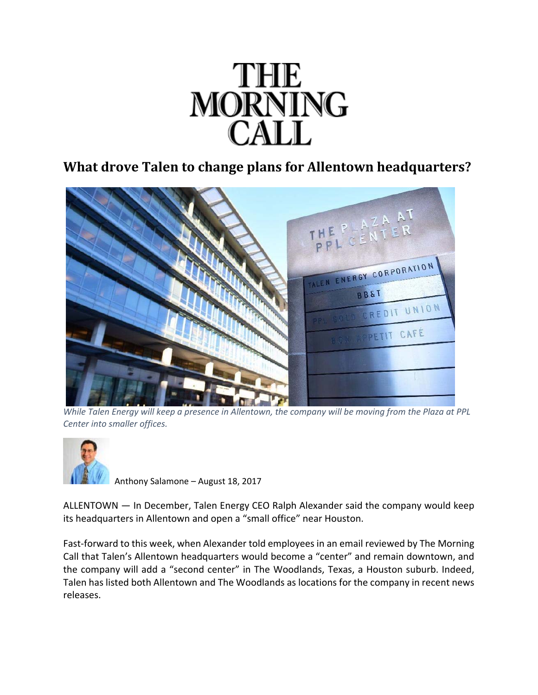

## **What drove Talen to change plans for Allentown headquarters?**



While Talen Energy will keep a presence in Allentown, the company will be moving from the Plaza at PPL *Center into smaller offices.*



Anthony Salamone – August 18, 2017

ALLENTOWN — In December, Talen Energy CEO Ralph Alexander said the company would keep its headquarters in Allentown and open a "small office" near Houston.

Fast-forward to this week, when Alexander told employees in an email reviewed by The Morning Call that Talen's Allentown headquarters would become a "center" and remain downtown, and the company will add a "second center" in The Woodlands, Texas, a Houston suburb. Indeed, Talen has listed both Allentown and The Woodlands as locations for the company in recent news releases.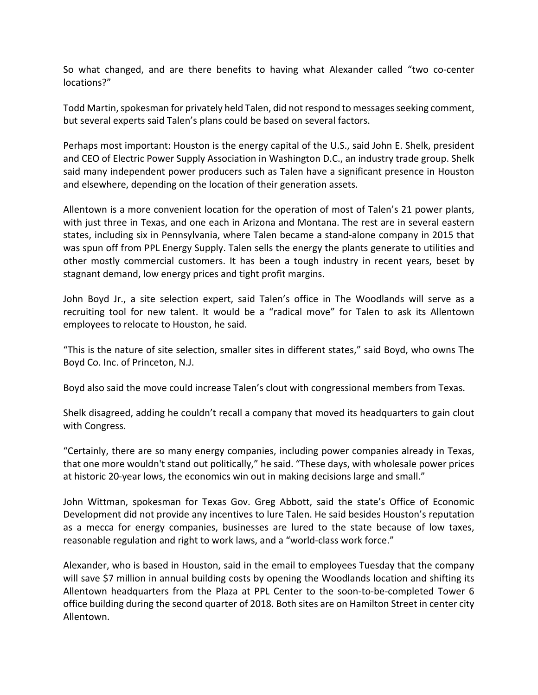So what changed, and are there benefits to having what Alexander called "two co‐center locations?"

Todd Martin, spokesman for privately held Talen, did not respond to messages seeking comment, but several experts said Talen's plans could be based on several factors.

Perhaps most important: Houston is the energy capital of the U.S., said John E. Shelk, president and CEO of Electric Power Supply Association in Washington D.C., an industry trade group. Shelk said many independent power producers such as Talen have a significant presence in Houston and elsewhere, depending on the location of their generation assets.

Allentown is a more convenient location for the operation of most of Talen's 21 power plants, with just three in Texas, and one each in Arizona and Montana. The rest are in several eastern states, including six in Pennsylvania, where Talen became a stand‐alone company in 2015 that was spun off from PPL Energy Supply. Talen sells the energy the plants generate to utilities and other mostly commercial customers. It has been a tough industry in recent years, beset by stagnant demand, low energy prices and tight profit margins.

John Boyd Jr., a site selection expert, said Talen's office in The Woodlands will serve as a recruiting tool for new talent. It would be a "radical move" for Talen to ask its Allentown employees to relocate to Houston, he said.

"This is the nature of site selection, smaller sites in different states," said Boyd, who owns The Boyd Co. Inc. of Princeton, N.J.

Boyd also said the move could increase Talen's clout with congressional members from Texas.

Shelk disagreed, adding he couldn't recall a company that moved its headquarters to gain clout with Congress.

"Certainly, there are so many energy companies, including power companies already in Texas, that one more wouldn't stand out politically," he said. "These days, with wholesale power prices at historic 20‐year lows, the economics win out in making decisions large and small."

John Wittman, spokesman for Texas Gov. Greg Abbott, said the state's Office of Economic Development did not provide any incentives to lure Talen. He said besides Houston's reputation as a mecca for energy companies, businesses are lured to the state because of low taxes, reasonable regulation and right to work laws, and a "world‐class work force."

Alexander, who is based in Houston, said in the email to employees Tuesday that the company will save \$7 million in annual building costs by opening the Woodlands location and shifting its Allentown headquarters from the Plaza at PPL Center to the soon-to-be-completed Tower 6 office building during the second quarter of 2018. Both sites are on Hamilton Street in center city Allentown.